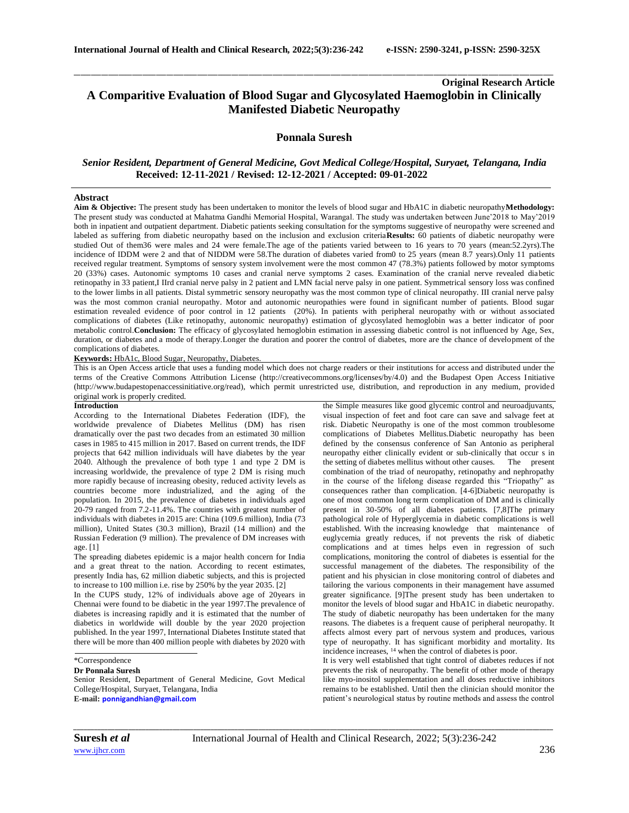# **Original Research Article A Comparitive Evaluation of Blood Sugar and Glycosylated Haemoglobin in Clinically Manifested Diabetic Neuropathy**

\_\_\_\_\_\_\_\_\_\_\_\_\_\_\_\_\_\_\_\_\_\_\_\_\_\_\_\_\_\_\_\_\_\_\_\_\_\_\_\_\_\_\_\_\_\_\_\_\_\_\_\_\_\_\_\_\_\_\_\_\_\_\_\_\_\_\_\_\_\_\_\_\_\_\_\_\_\_\_\_\_\_\_\_\_\_\_\_\_\_\_\_\_\_\_\_\_\_\_\_\_\_\_\_\_\_\_\_\_\_\_\_\_\_\_\_\_\_\_\_\_\_\_\_\_\_\_\_\_\_\_\_\_\_\_\_\_\_\_\_

## **Ponnala Suresh**

# *Senior Resident, Department of General Medicine, Govt Medical College/Hospital, Suryaet, Telangana, India*  **Received: 12-11-2021 / Revised: 12-12-2021 / Accepted: 09-01-2022**

### **Abstract**

**Aim & Objective:** The present study has been undertaken to monitor the levels of blood sugar and HbA1C in diabetic neuropathy**Methodology:**  The present study was conducted at Mahatma Gandhi Memorial Hospital, Warangal. The study was undertaken between June'2018 to May'2019 both in inpatient and outpatient department. Diabetic patients seeking consultation for the symptoms suggestive of neuropathy were screened and labeled as suffering from diabetic neuropathy based on the inclusion and exclusion criteria**Results:** 60 patients of diabetic neuropathy were studied Out of them36 were males and 24 were female.The age of the patients varied between to 16 years to 70 years (mean:52.2yrs).The incidence of IDDM were 2 and that of NIDDM were 58.The duration of diabetes varied from0 to 25 years (mean 8.7 years).Only 11 patients received regular treatment. Symptoms of sensory system involvement were the most common 47 (78.3%) patients followed by motor symptoms 20 (33%) cases. Autonomic symptoms 10 cases and cranial nerve symptoms 2 cases. Examination of the cranial nerve revealed diabetic retinopathy in 33 patient,I IIrd cranial nerve palsy in 2 patient and LMN facial nerve palsy in one patient. Symmetrical sensory loss was confined to the lower limbs in all patients. Distal symmetric sensory neuropathy was the most common type of clinical neuropathy. III cranial nerve palsy was the most common cranial neuropathy. Motor and autonomic neuropathies were found in significant number of patients. Blood sugar estimation revealed evidence of poor control in 12 patients (20%). In patients with peripheral neuropathy with or without associated complications of diabetes (Like retinopathy, autonomic neuropathy) estimation of glycosylated hemoglobin was a better indicator of poor metabolic control.**Conclusion:** The efficacy of glycosylated hemoglobin estimation in assessing diabetic control is not influenced by Age, Sex, duration, or diabetes and a mode of therapy.Longer the duration and poorer the control of diabetes, more are the chance of development of the complications of diabetes.

**Keywords:** HbA1c, Blood Sugar, Neuropathy, Diabetes.

This is an Open Access article that uses a funding model which does not charge readers or their institutions for access and distributed under the terms of the Creative Commons Attribution License (http://creativecommons.org/licenses/by/4.0) and the Budapest Open Access Initiative (http://www.budapestopenaccessinitiative.org/read), which permit unrestricted use, distribution, and reproduction in any medium, provided original work is properly credited.

### **Introduction**

According to the International Diabetes Federation (IDF), the worldwide prevalence of Diabetes Mellitus (DM) has risen dramatically over the past two decades from an estimated 30 million cases in 1985 to 415 million in 2017. Based on current trends, the IDF projects that 642 million individuals will have diabetes by the year 2040. Although the prevalence of both type 1 and type 2 DM is increasing worldwide, the prevalence of type 2 DM is rising much more rapidly because of increasing obesity, reduced activity levels as countries become more industrialized, and the aging of the population. In 2015, the prevalence of diabetes in individuals aged 20-79 ranged from 7.2-11.4%. The countries with greatest number of individuals with diabetes in 2015 are: China (109.6 million), India (73 million), United States (30.3 million), Brazil (14 million) and the Russian Federation (9 million). The prevalence of DM increases with age. [1]

The spreading diabetes epidemic is a major health concern for India and a great threat to the nation. According to recent estimates, presently India has, 62 million diabetic subjects, and this is projected to increase to 100 million i.e. rise by 250% by the year 2035. [2]

In the CUPS study, 12% of individuals above age of 20years in Chennai were found to be diabetic in the year 1997.The prevalence of diabetes is increasing rapidly and it is estimated that the number of diabetics in worldwide will double by the year 2020 projection published. In the year 1997, International Diabetes Institute stated that there will be more than 400 million people with diabetes by 2020 with

## \*Correspondence

**Dr Ponnala Suresh**

Senior Resident, Department of General Medicine, Govt Medical College/Hospital, Suryaet, Telangana, India **E-mail: [ponnigandhian@gmail.com](mailto:ponnigandhian@gmail.com)**

the Simple measures like good glycemic control and neuroadjuvants, visual inspection of feet and foot care can save and salvage feet at risk. Diabetic Neuropathy is one of the most common troublesome complications of Diabetes Mellitus.Diabetic neuropathy has been defined by the consensus conference of San Antonio as peripheral neuropathy either clinically evident or sub-clinically that occur s in the setting of diabetes mellitus without other causes. The present combination of the triad of neuropathy, retinopathy and nephropathy in the course of the lifelong disease regarded this "Triopathy" as consequences rather than complication. [4-6]Diabetic neuropathy is one of most common long term complication of DM and is clinically present in 30-50% of all diabetes patients. [7,8]The primary pathological role of Hyperglycemia in diabetic complications is well established. With the increasing knowledge that maintenance of euglycemia greatly reduces, if not prevents the risk of diabetic complications and at times helps even in regression of such complications, monitoring the control of diabetes is essential for the successful management of the diabetes. The responsibility of the patient and his physician in close monitoring control of diabetes and tailoring the various components in their management have assumed greater significance. [9]The present study has been undertaken to monitor the levels of blood sugar and HbA1C in diabetic neuropathy. The study of diabetic neuropathy has been undertaken for the many reasons. The diabetes is a frequent cause of peripheral neuropathy. It affects almost every part of nervous system and produces, various type of neuropathy. It has significant morbidity and mortality. Its incidence increases, <sup>14</sup> when the control of diabetes is poor.

It is very well established that tight control of diabetes reduces if not prevents the risk of neuropathy. The benefit of other mode of therapy like myo-inositol supplementation and all doses reductive inhibitors remains to be established. Until then the clinician should monitor the patient's neurological status by routine methods and assess the control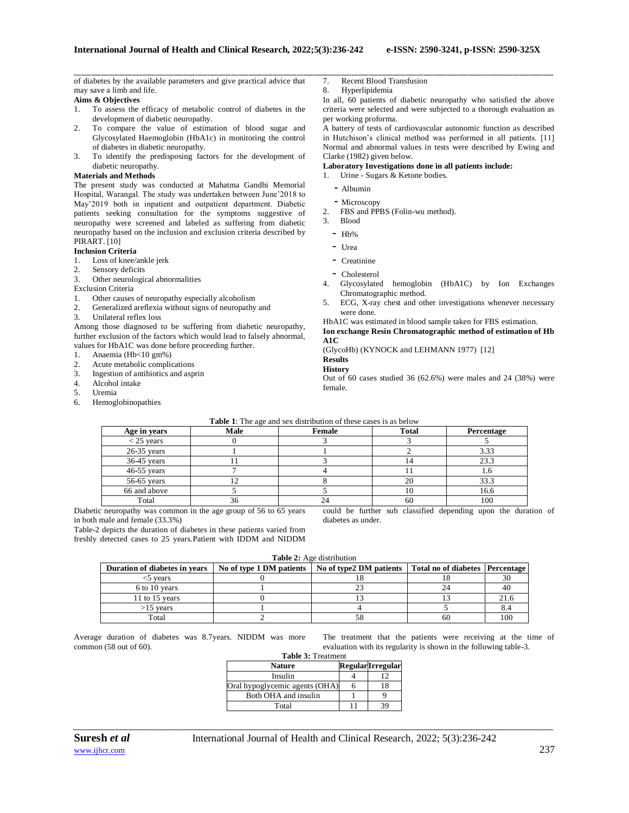of diabetes by the available parameters and give practical advice that may save a limb and life.

## **Aims & Objectives**

- 1. To assess the efficacy of metabolic control of diabetes in the development of diabetic neuropathy.
- 2. To compare the value of estimation of blood sugar and Glycosylated Haemoglobin (HbA1c) in monitoring the control of diabetes in diabetic neuropathy.
- 3. To identify the predisposing factors for the development of diabetic neuropathy.

### **Materials and Methods**

The present study was conducted at Mahatma Gandhi Memorial Hospital, Warangal. The study was undertaken between June'2018 to May'2019 both in inpatient and outpatient department. Diabetic patients seeking consultation for the symptoms suggestive of neuropathy were screened and labeled as suffering from diabetic neuropathy based on the inclusion and exclusion criteria described by PIRART. [10]

### **Inclusion Criteria**

- 1. Loss of knee/ankle jerk
- 2. Sensory deficits
- 3. Other neurological abnormalities
- Exclusion Criteria
- 1. Other causes of neuropathy especially alcoholism
- 2. Generalized areflexia without signs of neuropathy and
- 3. Unilateral reflex loss

Among those diagnosed to be suffering from diabetic neuropathy, further exclusion of the factors which would lead to falsely abnormal, values for HbA1C was done before proceeding further.

- 1. Anaemia (Hb<10 gm%)
- 2. Acute metabolic complications
- 3. Ingestion of antibiotics and asprin<br> $\frac{4}{100}$  Alcohol intake
- Alcohol intake
- 5. Uremia
- 6. Hemoglobinopathies
- 7. Recent Blood Transfusion
- 8. Hyperlipidemia

\_\_\_\_\_\_\_\_\_\_\_\_\_\_\_\_\_\_\_\_\_\_\_\_\_\_\_\_\_\_\_\_\_\_\_\_\_\_\_\_\_\_\_\_\_\_\_\_\_\_\_\_\_\_\_\_\_\_\_\_\_\_\_\_\_\_\_\_\_\_\_\_\_\_\_\_\_\_\_\_\_\_\_\_\_\_\_\_\_\_\_\_\_\_\_\_\_\_\_\_\_\_\_\_\_\_\_\_\_\_\_\_\_\_\_\_\_\_\_\_\_\_\_\_\_\_\_\_\_\_\_\_\_\_\_\_\_\_\_\_

In all, 60 patients of diabetic neuropathy who satisfied the above criteria were selected and were subjected to a thorough evaluation as per working proforma.

A battery of tests of cardiovascular autonomic function as described in Hutchison's clinical method was performed in all patients. [11] Normal and abnormal values in tests were described by Ewing and Clarke (1982) given below.

## **Laboratory Investigations done in all patients include:**

- 1. Urine Sugars & Ketone bodies.
	- Albumin
	- Microscopy
- 2. FBS and PPBS (Folin-wu method).
- 3. Blood
	- $-$  Hb%
	- Urea
	- Creatinine
- Cholesterol
- 4. Glycosylated hemoglobin (HbA1C) by Ion Exchanges Chromatographic method.
- 5. ECG, X-ray chest and other investigations whenever necessary were done.
- HbA1C was estimated in blood sample taken for FBS estimation.

**Ion exchange Resin Chromatographic method of estimation of Hb A1C**

(GlycoHb) (KYNOCK and LEHMANN 1977) [12]

# **Results**

**History**

Out of 60 cases studied 36 (62.6%) were males and 24 (38%) were female.

|               | <b>Table 1:</b> The age and sex distribution of these cases is as below |        |       |            |  |  |  |
|---------------|-------------------------------------------------------------------------|--------|-------|------------|--|--|--|
| Age in years  | Male                                                                    | Female | Total | Percentage |  |  |  |
| $<$ 25 years  |                                                                         |        |       |            |  |  |  |
| $26-35$ years |                                                                         |        |       | 3.33       |  |  |  |
| $36-45$ years |                                                                         |        |       | 23.3       |  |  |  |
| $46-55$ years |                                                                         |        |       |            |  |  |  |
| $56-65$ years |                                                                         |        | 20    | 33.3       |  |  |  |
| 66 and above  |                                                                         |        | 10    | 16.6       |  |  |  |
| Total         |                                                                         |        | 60    | 100        |  |  |  |

Diabetic neuropathy was common in the age group of 56 to 65 years in both male and female (33.3%)

Table-2 depicts the duration of diabetes in these patients varied from freshly detected cases to 25 years.Patient with IDDM and NIDDM

could be further sub classified depending upon the duration of diabetes as under.

|  |  |  | <b>Table 2:</b> Age distribution |
|--|--|--|----------------------------------|
|--|--|--|----------------------------------|

| Duration of diabetes in vears | No of type 1 DM patients | No of type 2DM patients | Total no of diabetes Percentage |      |
|-------------------------------|--------------------------|-------------------------|---------------------------------|------|
| 5 vears                       |                          |                         |                                 |      |
| 6 to 10 years                 |                          |                         |                                 | 40   |
| 11 to 15 years                |                          |                         |                                 | 21.6 |
| $>15$ vears                   |                          |                         |                                 | 8.4  |
| Total                         |                          |                         | 60                              | 100  |

Average duration of diabetes was 8.7years. NIDDM was mo common (58 out of 60).

| s more                         |  |  |  | The treatment that the patients were receiving at the time of     |  |  |
|--------------------------------|--|--|--|-------------------------------------------------------------------|--|--|
|                                |  |  |  | evaluation with its regularity is shown in the following table-3. |  |  |
| $\mathbf{m}$ is a $\mathbf{m}$ |  |  |  |                                                                   |  |  |

| <b>Table 5:</b> Treatment      |  |                          |  |  |  |
|--------------------------------|--|--------------------------|--|--|--|
| <b>Nature</b>                  |  | <b>Regular</b> Irregular |  |  |  |
| Insulin                        |  | 12                       |  |  |  |
| Oral hypoglycemic agents (OHA) |  | 18                       |  |  |  |
| Both OHA and insulin           |  |                          |  |  |  |
| Total                          |  |                          |  |  |  |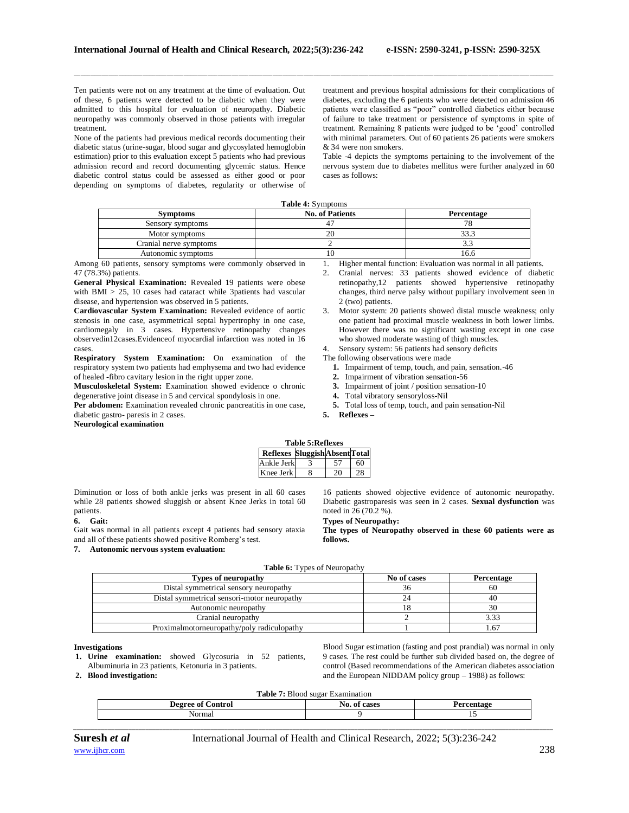Ten patients were not on any treatment at the time of evaluation. Out of these, 6 patients were detected to be diabetic when they were admitted to this hospital for evaluation of neuropathy. Diabetic neuropathy was commonly observed in those patients with irregular treatment.

None of the patients had previous medical records documenting their diabetic status (urine-sugar, blood sugar and glycosylated hemoglobin estimation) prior to this evaluation except 5 patients who had previous admission record and record documenting glycemic status. Hence diabetic control status could be assessed as either good or poor depending on symptoms of diabetes, regularity or otherwise of treatment and previous hospital admissions for their complications of diabetes, excluding the 6 patients who were detected on admission 46 patients were classified as "poor" controlled diabetics either because of failure to take treatment or persistence of symptoms in spite of treatment. Remaining 8 patients were judged to be 'good' controlled with minimal parameters. Out of 60 patients 26 patients were smokers & 34 were non smokers.

Table -4 depicts the symptoms pertaining to the involvement of the nervous system due to diabetes mellitus were further analyzed in 60 cases as follows:

|--|

\_\_\_\_\_\_\_\_\_\_\_\_\_\_\_\_\_\_\_\_\_\_\_\_\_\_\_\_\_\_\_\_\_\_\_\_\_\_\_\_\_\_\_\_\_\_\_\_\_\_\_\_\_\_\_\_\_\_\_\_\_\_\_\_\_\_\_\_\_\_\_\_\_\_\_\_\_\_\_\_\_\_\_\_\_\_\_\_\_\_\_\_\_\_\_\_\_\_\_\_\_\_\_\_\_\_\_\_\_\_\_\_\_\_\_\_\_\_\_\_\_\_\_\_\_\_\_\_\_\_\_\_\_\_\_\_\_\_\_\_

| <b>Symptoms</b>        | <b>No. of Patients</b> | Percentage |
|------------------------|------------------------|------------|
| Sensory symptoms       |                        |            |
| Motor symptoms         |                        |            |
| Cranial nerve symptoms |                        |            |
| Autonomic symptoms     |                        |            |

Among 60 patients, sensory symptoms were commonly observed in 47 (78.3%) patients.

**General Physical Examination:** Revealed 19 patients were obese with BMI > 25, 10 cases had cataract while 3patients had vascular disease, and hypertension was observed in 5 patients.

**Cardiovascular System Examination:** Revealed evidence of aortic stenosis in one case, asymmetrical septal hypertrophy in one case, cardiomegaly in 3 cases. Hypertensive retinopathy changes observedin12cases.Evidenceof myocardial infarction was noted in 16 cases.

**Respiratory System Examination:** On examination of the respiratory system two patients had emphysema and two had evidence of healed -fibro cavitary lesion in the right upper zone.

**Musculoskeletal System:** Examination showed evidence o chronic degenerative joint disease in 5 and cervical spondylosis in one.

Per abdomen: Examination revealed chronic pancreatitis in one case, diabetic gastro- paresis in 2 cases.

1. Higher mental function: Evaluation was normal in all patients.

- 2. Cranial nerves: 33 patients showed evidence of diabetic retinopathy,12 patients showed hypertensive retinopathy changes, third nerve palsy without pupillary involvement seen in 2 (two) patients.
- 3. Motor system: 20 patients showed distal muscle weakness; only one patient had proximal muscle weakness in both lower limbs. However there was no significant wasting except in one case who showed moderate wasting of thigh muscles.
- 4. Sensory system: 56 patients had sensory deficits

The following observations were made

- **1.** Impairment of temp, touch, and pain, sensation.-46
- **2.** Impairment of vibration sensation-56
- **3.** Impairment of joint / position sensation-10
- **4.** Total vibratory sensoryloss-Nil
- **5.** Total loss of temp, touch, and pain sensation-Nil

**5. Reflexes –**

**Neurological examination**

| <b>Table 5: Reflexes</b>       |  |    |    |  |
|--------------------------------|--|----|----|--|
| Reflexes Sluggish Absent Total |  |    |    |  |
| Ankle Jerk                     |  | 57 | 60 |  |
| Knee Jerk                      |  | 20 | 28 |  |

Diminution or loss of both ankle jerks was present in all 60 cases while 28 patients showed sluggish or absent Knee Jerks in total 60 patients.

## **6. Gait:**

Gait was normal in all patients except 4 patients had sensory ataxia and all of these patients showed positive Romberg's test.

#### **7. Autonomic nervous system evaluation:**

16 patients showed objective evidence of autonomic neuropathy. Diabetic gastroparesis was seen in 2 cases. **Sexual dysfunction** was noted in 26 (70.2 %).

## **Types of Neuropathy:**

**The types of Neuropathy observed in these 60 patients were as follows.**

|  |  | Table 6: Types of Neuropathy |  |
|--|--|------------------------------|--|
|  |  |                              |  |

| <b>Types of neuropathy</b>                  | No of cases | Percentage |
|---------------------------------------------|-------------|------------|
| Distal symmetrical sensory neuropathy       |             | 60         |
| Distal symmetrical sensori-motor neuropathy |             |            |
| Autonomic neuropathy                        |             |            |
| Cranial neuropathy                          |             |            |
| Proximalmotorneuropathy/poly radiculopathy  |             |            |

#### **Investigations**

**1. Urine examination:** showed Glycosuria in 52 patients, Albuminuria in 23 patients, Ketonuria in 3 patients.

**2. Blood investigation:**

Blood Sugar estimation (fasting and post prandial) was normal in only 9 cases. The rest could be further sub divided based on, the degree of control (Based recommendations of the American diabetes association and the European NIDDAM policy group – 1988) as follows:

**Table 7:** Blood sugar Examination

| lorma |
|-------|
|       |

**Suresh** *et al* **International Journal of Health and Clinical Research, 2022; 5(3):236-242**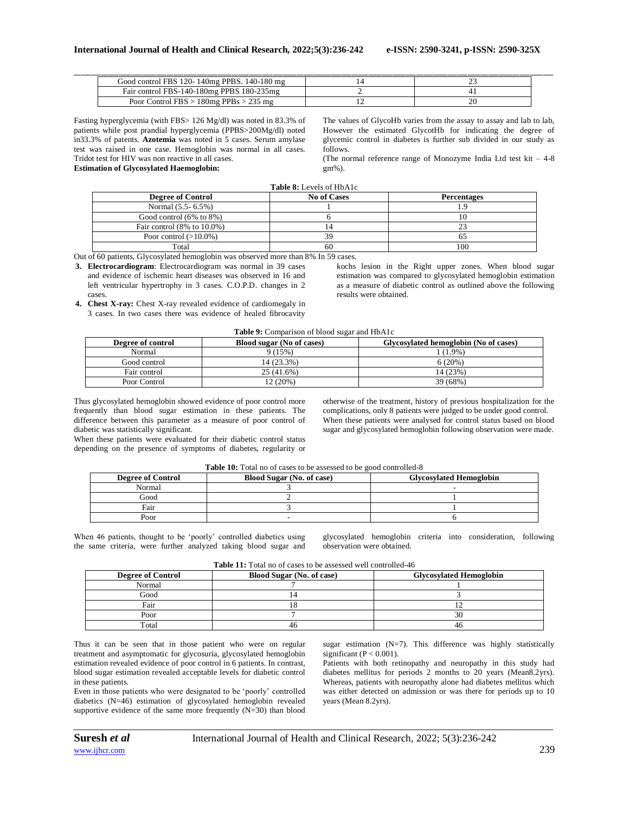| Good control FBS 120-140mg PPBS, 140-180 mg |  |
|---------------------------------------------|--|
| Fair control FBS-140-180mg PPBS 180-235mg   |  |
| Poor Control $FBS > 180mg$ PPBs $> 235 mg$  |  |

Fasting hyperglycemia (with FBS> 126 Mg/dl) was noted in 83.3% of patients while post prandial hyperglycemia (PPBS>200Mg/dl) noted in33.3% of patents. **Azotemia** was noted in 5 cases. Serum amylase test was raised in one case. Hemoglobin was normal in all cases. Tridot test for HIV was non reactive in all cases. **Estimation of Glycosylated Haemoglobin:**

The values of GlycoHb varies from the assay to assay and lab to lab, However the estimated GlycotHb for indicating the degree of glycemic control in diabetes is further sub divided in our study as follows.

(The normal reference range of Monozyme India Ltd test kit – 4-8 gm%).

| <b>Table 8:</b> Levels of HbA1c |
|---------------------------------|
| No of Cases                     |

| <b>Degree of Control</b>                | <b>No of Cases</b> | <b>Percentages</b> |
|-----------------------------------------|--------------------|--------------------|
| Normal (5.5 - 6.5%)                     |                    |                    |
| Good control $(6\% \text{ to } 8\%)$    |                    |                    |
| Fair control $(8\% \text{ to } 10.0\%)$ |                    |                    |
| Poor control $(>10.0\%)$                | 39                 |                    |
| Total                                   | 60                 | 100                |

Out of 60 patients, Glycosylated hemoglobin was observed more than 8% In 59 cases.

**3. Electrocardiogram**: Electrocardiogram was normal in 39 cases and evidence of ischemic heart diseases was observed in 16 and left ventricular hypertrophy in 3 cases. C.O.P.D. changes in 2 cases.

**4. Chest X-ray:** Chest X-ray revealed evidence of cardiomegaly in 3 cases. In two cases there was evidence of healed fibrocavity

kochs lesion in the Right upper zones. When blood sugar estimation was compared to glycosylated hemoglobin estimation as a measure of diabetic control as outlined above the following results were obtained.

#### **Table 9:** Comparison of blood sugar and HbA1c

| Degree of control | Blood sugar (No of cases) | Glycosylated hemoglobin (No of cases) |
|-------------------|---------------------------|---------------------------------------|
| Normal            | 9(15%)                    | $(1.9\%)$                             |
| Good control      | 14 (23.3%)                | 6(20%)                                |
| Fair control      | 25 (41.6%)                | 14 (23%)                              |
| Poor Control      | $12(20\%)$                | 39 (68%)                              |

Thus glycosylated hemoglobin showed evidence of poor control more frequently than blood sugar estimation in these patients. The difference between this parameter as a measure of poor control of diabetic was statistically significant.

When these patients were evaluated for their diabetic control status depending on the presence of symptoms of diabetes, regularity or otherwise of the treatment, history of previous hospitalization for the complications, only 8 patients were judged to be under good control. When these patients were analysed for control status based on blood sugar and glycosylated hemoglobin following observation were made.

| <b>Degree of Control</b> | <b>Blood Sugar (No. of case)</b> | <b>Glycosylated Hemoglobin</b> |
|--------------------------|----------------------------------|--------------------------------|
| Normal                   |                                  |                                |
| Good                     |                                  |                                |
| Fair                     |                                  |                                |
| Poor                     |                                  |                                |

When 46 patients, thought to be 'poorly' controlled diabetics using the same criteria, were further analyzed taking blood sugar and glycosylated hemoglobin criteria into consideration, following observation were obtained.

| <b>Table 11:</b> Total no of cases to be assessed well controlled-46 |  |  |
|----------------------------------------------------------------------|--|--|
|----------------------------------------------------------------------|--|--|

| <b>Degree of Control</b> | Blood Sugar (No. of case) | <b>Glycosylated Hemoglobin</b> |
|--------------------------|---------------------------|--------------------------------|
| Normal                   |                           |                                |
| Good                     |                           |                                |
| Fair                     |                           |                                |
| Poor                     |                           | .5I                            |
| Total                    | 46                        |                                |

*\_\_\_\_\_\_\_\_\_\_\_\_\_\_\_\_\_\_\_\_\_\_\_\_\_\_\_\_\_\_\_\_\_\_\_\_\_\_\_\_\_\_\_\_\_\_\_\_\_\_\_\_\_\_\_\_\_\_\_\_\_\_\_\_\_\_\_\_\_\_\_\_\_\_\_\_\_\_\_\_\_\_\_\_\_\_\_\_\_\_\_\_\_\_\_\_\_\_\_\_\_\_\_\_\_\_\_\_\_\_\_\_\_\_\_\_\_\_\_\_\_\_\_\_\_\_\_\_\_\_\_\_\_\_\_\_\_\_\_\_*

Thus it can be seen that in those patient who were on regular treatment and asymptomatic for glycosuria, glycosylated hemoglobin estimation revealed evidence of poor control in 6 patients. In contrast, blood sugar estimation revealed acceptable levels for diabetic control in these patients.

Even in those patients who were designated to be 'poorly' controlled diabetics (N=46) estimation of glycosylated hemoglobin revealed supportive evidence of the same more frequently  $(N=30)$  than blood

sugar estimation (N=7). This difference was highly statistically significant ( $P < 0.001$ ).

Patients with both retinopathy and neuropathy in this study had diabetes mellitus for periods 2 months to 20 years (Mean8.2yrs). Whereas, patients with neuropathy alone had diabetes mellitus which was either detected on admission or was there for periods up to 10 years (Mean 8.2yrs).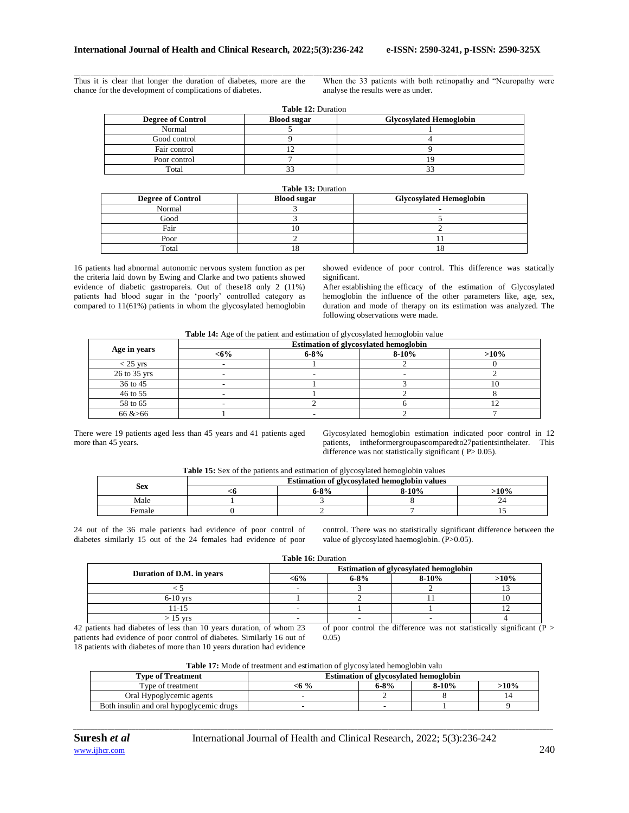\_\_\_\_\_\_\_\_\_\_\_\_\_\_\_\_\_\_\_\_\_\_\_\_\_\_\_\_\_\_\_\_\_\_\_\_\_\_\_\_\_\_\_\_\_\_\_\_\_\_\_\_\_\_\_\_\_\_\_\_\_\_\_\_\_\_\_\_\_\_\_\_\_\_\_\_\_\_\_\_\_\_\_\_\_\_\_\_\_\_\_\_\_\_\_\_\_\_\_\_\_\_\_\_\_\_\_\_\_\_\_\_\_\_\_\_\_\_\_\_\_\_\_\_\_\_\_\_\_\_\_\_\_\_\_\_\_\_\_\_ Thus it is clear that longer the duration of diabetes, more are the chance for the development of complications of diabetes.

When the 33 patients with both retinopathy and "Neuropathy were analyse the results were as under.

| <b>Table 12: Duration</b> |                    |                                |  |  |
|---------------------------|--------------------|--------------------------------|--|--|
| <b>Degree of Control</b>  | <b>Blood sugar</b> | <b>Glycosylated Hemoglobin</b> |  |  |
| Normal                    |                    |                                |  |  |
| Good control              |                    |                                |  |  |
| Fair control              |                    |                                |  |  |
| Poor control              |                    |                                |  |  |
| Total                     |                    |                                |  |  |

| <b>Table 13: Duration</b> |                    |                                |  |  |
|---------------------------|--------------------|--------------------------------|--|--|
| <b>Degree of Control</b>  | <b>Blood sugar</b> | <b>Glycosylated Hemoglobin</b> |  |  |
| Normal                    |                    |                                |  |  |
| Good                      |                    |                                |  |  |
| Fair                      |                    |                                |  |  |
| Poor                      |                    |                                |  |  |
| Total                     | L O                |                                |  |  |

16 patients had abnormal autonomic nervous system function as per the criteria laid down by Ewing and Clarke and two patients showed evidence of diabetic gastropareis. Out of these18 only 2 (11%) patients had blood sugar in the 'poorly' controlled category as compared to 11(61%) patients in whom the glycosylated hemoglobin showed evidence of poor control. This difference was statically significant.

After establishing the efficacy of the estimation of Glycosylated hemoglobin the influence of the other parameters like, age, sex, duration and mode of therapy on its estimation was analyzed. The following observations were made.

**Table 14:** Age of the patient and estimation of glycosylated hemoglobin value

|              | <b>Estimation of glycosylated hemoglobin</b> |           |         |         |
|--------------|----------------------------------------------|-----------|---------|---------|
| Age in years | $<$ 6%                                       | $6 - 8\%$ | $8-10%$ | $>10\%$ |
| $<$ 25 yrs   |                                              |           |         |         |
| 26 to 35 yrs |                                              |           |         |         |
| 36 to 45     |                                              |           |         |         |
| 46 to 55     |                                              |           |         |         |
| 58 to 65     |                                              |           |         |         |
| 66 > 66      |                                              |           |         |         |

There were 19 patients aged less than 45 years and 41 patients aged more than 45 years.

Glycosylated hemoglobin estimation indicated poor control in 12 patients, intheformergroupascomparedto27patientsinthelater. This difference was not statistically significant ( $P > 0.05$ ).

|        | <b>Estimation of glycosylated hemoglobin values</b> |      |       |               |
|--------|-----------------------------------------------------|------|-------|---------------|
| Sex    |                                                     | .80/ | ዪ-10% | $^{\circ}0\%$ |
| Aale   |                                                     |      |       |               |
| Female |                                                     |      |       |               |

24 out of the 36 male patients had evidence of poor control of diabetes similarly 15 out of the 24 females had evidence of poor

control. There was no statistically significant difference between the value of glycosylated haemoglobin. (P>0.05).

| Duration of D.M. in years | <b>Estimation of glycosylated hemoglobin</b> |          |         |         |  |
|---------------------------|----------------------------------------------|----------|---------|---------|--|
|                           | <6%                                          | $6 - 8%$ | $8-10%$ | $>10\%$ |  |
|                           |                                              |          |         |         |  |
| $6-10$ vrs                |                                              |          |         |         |  |
| 11-15                     |                                              |          |         |         |  |
| $15 \text{ vrs}$          |                                              |          |         |         |  |

42 patients had diabetes of less than 10 years duration, of whom 23 patients had evidence of poor control of diabetes. Similarly 16 out of 18 patients with diabetes of more than 10 years duration had evidence

of poor control the difference was not statistically significant ( $P >$ 0.05)

**Table 17:** Mode of treatment and estimation of glycosylated hemoglobin valu

| <b>T</b> vpe of Treatment                | <b>Estimation of glycosylated hemoglobin</b> |      |         |      |  |  |
|------------------------------------------|----------------------------------------------|------|---------|------|--|--|
| Type of treatment                        | <ճ %                                         | 6-8% | $8-10%$ | >10% |  |  |
| Oral Hypoglycemic agents                 |                                              |      |         |      |  |  |
| Both insulin and oral hypoglycemic drugs |                                              |      |         |      |  |  |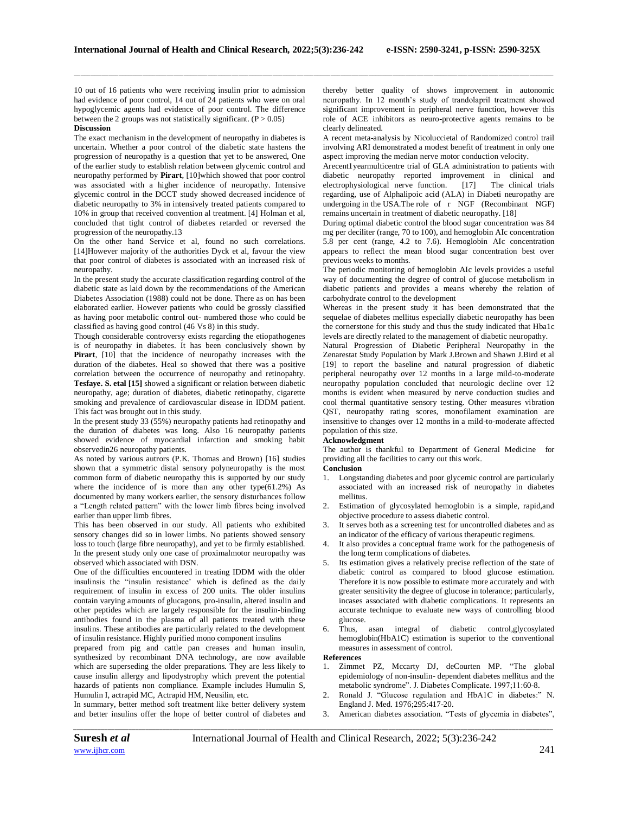\_\_\_\_\_\_\_\_\_\_\_\_\_\_\_\_\_\_\_\_\_\_\_\_\_\_\_\_\_\_\_\_\_\_\_\_\_\_\_\_\_\_\_\_\_\_\_\_\_\_\_\_\_\_\_\_\_\_\_\_\_\_\_\_\_\_\_\_\_\_\_\_\_\_\_\_\_\_\_\_\_\_\_\_\_\_\_\_\_\_\_\_\_\_\_\_\_\_\_\_\_\_\_\_\_\_\_\_\_\_\_\_\_\_\_\_\_\_\_\_\_\_\_\_\_\_\_\_\_\_\_\_\_\_\_\_\_\_\_\_

10 out of 16 patients who were receiving insulin prior to admission had evidence of poor control, 14 out of 24 patients who were on oral hypoglycemic agents had evidence of poor control. The difference between the 2 groups was not statistically significant.  $(P > 0.05)$ 

## **Discussion**

The exact mechanism in the development of neuropathy in diabetes is uncertain. Whether a poor control of the diabetic state hastens the progression of neuropathy is a question that yet to be answered, One of the earlier study to establish relation between glycemic control and neuropathy performed by **Pirart**, [10]which showed that poor control was associated with a higher incidence of neuropathy. Intensive glycemic control in the DCCT study showed decreased incidence of diabetic neuropathy to 3% in intensively treated patients compared to 10% in group that received convention al treatment. [4] Holman et al, concluded that tight control of diabetes retarded or reversed the progression of the neuropathy.13

On the other hand Service et al, found no such correlations. [14]However majority of the authorities Dyck et al, favour the view that poor control of diabetes is associated with an increased risk of neuropathy.

In the present study the accurate classification regarding control of the diabetic state as laid down by the recommendations of the American Diabetes Association (1988) could not be done. There as on has been elaborated earlier. However patients who could be grossly classified as having poor metabolic control out- numbered those who could be classified as having good control (46 Vs 8) in this study.

Though considerable controversy exists regarding the etiopathogenes is of neuropathy in diabetes. It has been conclusively shown by **Pirart**, [10] that the incidence of neuropathy increases with the duration of the diabetes. Heal so showed that there was a positive correlation between the occurrence of neuropathy and retinopahty. **Tesfaye. S. etal [15]** showed a significant or relation between diabetic neuropathy, age; duration of diabetes, diabetic retinopathy, cigarette smoking and prevalence of cardiovascular disease in IDDM patient. This fact was brought out in this study.

In the present study 33 (55%) neuropathy patients had retinopathy and the duration of diabetes was long. Also 16 neuropathy patients showed evidence of myocardial infarction and smoking habit observedin26 neuropathy patients.

As noted by various autrors (P.K. Thomas and Brown) [16] studies shown that a symmetric distal sensory polyneuropathy is the most common form of diabetic neuropathy this is supported by our study where the incidence of is more than any other type $(61.2%)$  As documented by many workers earlier, the sensory disturbances follow a "Length related pattern" with the lower limb fibres being involved earlier than upper limb fibres.

This has been observed in our study. All patients who exhibited sensory changes did so in lower limbs. No patients showed sensory loss to touch (large fibre neuropathy), and yet to be firmly established. In the present study only one case of proximalmotor neuropathy was observed which associated with DSN.

One of the difficulties encountered in treating IDDM with the older insulinsis the "insulin resistance' which is defined as the daily requirement of insulin in excess of 200 units. The older insulins contain varying amounts of glucagons, pro-insulin, altered insulin and other peptides which are largely responsible for the insulin-binding antibodies found in the plasma of all patients treated with these insulins. These antibodies are particularly related to the development of insulin resistance. Highly purified mono component insulins

prepared from pig and cattle pan creases and human insulin, synthesized by recombinant DNA technology, are now available which are superseding the older preparations. They are less likely to cause insulin allergy and lipodystrophy which prevent the potential hazards of patients non compliance. Example includes Humulin S, Humulin I, actrapid MC, Actrapid HM, Neusilin, etc.

In summary, better method soft treatment like better delivery system and better insulins offer the hope of better control of diabetes and thereby better quality of shows improvement in autonomic neuropathy. In 12 month's study of trandolapril treatment showed significant improvement in peripheral nerve function, however this role of ACE inhibitors as neuro-protective agents remains to be clearly delineated.

A recent meta-analysis by Nicoluccietal of Randomized control trail involving ARI demonstrated a modest benefit of treatment in only one aspect improving the median nerve motor conduction velocity.

Arecent1yearmulticentre trial of GLA administration to patients with diabetic neuropathy reported improvement in clinical and electrophysiological nerve function. [17] The clinical trials regarding, use of Alphalipoic acid (ALA) in Diabeti neuropathy are undergoing in the USA.The role of r NGF (Recombinant NGF) remains uncertain in treatment of diabetic neuropathy. [18]

During optimal diabetic control the blood sugar concentration was 84 mg per deciliter (range, 70 to 100), and hemoglobin AIc concentration 5.8 per cent (range, 4.2 to 7.6). Hemoglobin AIc concentration appears to reflect the mean blood sugar concentration best over previous weeks to months.

The periodic monitoring of hemoglobin AIc levels provides a useful way of documenting the degree of control of glucose metabolism in diabetic patients and provides a means whereby the relation of carbohydrate control to the development

Whereas in the present study it has been demonstrated that the sequelae of diabetes mellitus especially diabetic neuropathy has been the cornerstone for this study and thus the study indicated that Hba1c levels are directly related to the management of diabetic neuropathy.

Natural Progression of Diabetic Peripheral Neuropathy in the Zenarestat Study Population by Mark J.Brown and Shawn J.Bird et al [19] to report the baseline and natural progression of diabetic peripheral neuropathy over 12 months in a large mild-to-moderate neuropathy population concluded that neurologic decline over 12 months is evident when measured by nerve conduction studies and cool thermal quantitative sensory testing. Other measures vibration QST, neuropathy rating scores, monofilament examination are insensitive to changes over 12 months in a mild-to-moderate affected population of this size.

### **Acknowledgment**

The author is thankful to Department of General Medicine for providing all the facilities to carry out this work.

### **Conclusion**

- 1. Longstanding diabetes and poor glycemic control are particularly associated with an increased risk of neuropathy in diabetes mellitus.
- 2. Estimation of glycosylated hemoglobin is a simple, rapid,and objective procedure to assess diabetic control.
- 3. It serves both as a screening test for uncontrolled diabetes and as an indicator of the efficacy of various therapeutic regimens.
- 4. It also provides a conceptual frame work for the pathogenesis of the long term complications of diabetes.
- 5. Its estimation gives a relatively precise reflection of the state of diabetic control as compared to blood glucose estimation. Therefore it is now possible to estimate more accurately and with greater sensitivity the degree of glucose in tolerance; particularly, incases associated with diabetic complications. It represents an accurate technique to evaluate new ways of controlling blood glucose.
- 6. Thus, asan integral of diabetic control,glycosylated hemoglobin(HbA1C) estimation is superior to the conventional measures in assessment of control.

#### **References**

- 1. Zimmet PZ, Mccarty DJ, deCourten MP. "The global epidemiology of non-insulin- dependent diabetes mellitus and the metabolic syndrome". J. Diabetes Complicate. 1997;11:60-8.
- 2. Ronald J. "Glucose regulation and HbA1C in diabetes:" N. England J. Med. 1976;295:417-20.
- 3. American diabetes association. "Tests of glycemia in diabetes",